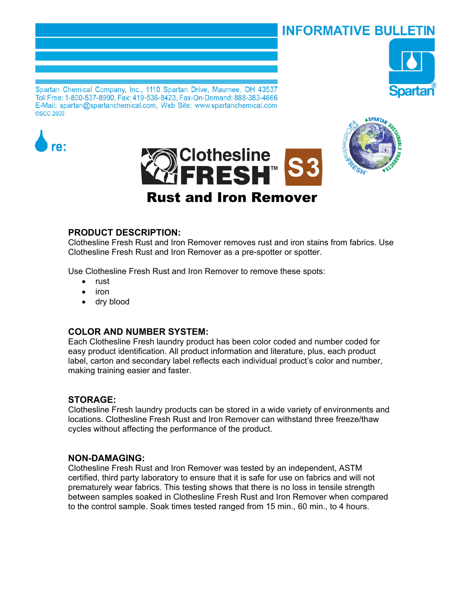# **INFORMATIVE BULLETIN**



Spartan Chemical Company, Inc., 1110 Spartan Drive, Maumee, OH 43537 Toll Free: 1-800-537-8990, Fax: 419-536-8423, Fax-On-Demand: 888-383-4666 E-Mail: spartan@spartanchemical.com, Web Site: www.spartanchemical.com **©SCC 2003** 







# **PRODUCT DESCRIPTION:**

Clothesline Fresh Rust and Iron Remover removes rust and iron stains from fabrics. Use Clothesline Fresh Rust and Iron Remover as a pre-spotter or spotter.

Use Clothesline Fresh Rust and Iron Remover to remove these spots:

- rust
- iron
- dry blood

## **COLOR AND NUMBER SYSTEM:**

Each Clothesline Fresh laundry product has been color coded and number coded for easy product identification. All product information and literature, plus, each product label, carton and secondary label reflects each individual product's color and number, making training easier and faster.

## **STORAGE:**

Clothesline Fresh laundry products can be stored in a wide variety of environments and locations. Clothesline Fresh Rust and Iron Remover can withstand three freeze/thaw cycles without affecting the performance of the product.

## **NON-DAMAGING:**

Clothesline Fresh Rust and Iron Remover was tested by an independent, ASTM certified, third party laboratory to ensure that it is safe for use on fabrics and will not prematurely wear fabrics. This testing shows that there is no loss in tensile strength between samples soaked in Clothesline Fresh Rust and Iron Remover when compared to the control sample. Soak times tested ranged from 15 min., 60 min., to 4 hours.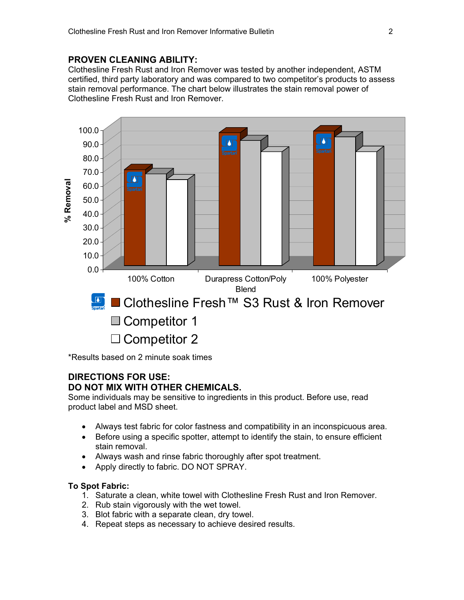# **PROVEN CLEANING ABILITY:**

Clothesline Fresh Rust and Iron Remover was tested by another independent, ASTM certified, third party laboratory and was compared to two competitor's products to assess stain removal performance. The chart below illustrates the stain removal power of Clothesline Fresh Rust and Iron Remover.



\*Results based on 2 minute soak times

# **DIRECTIONS FOR USE: DO NOT MIX WITH OTHER CHEMICALS.**

Some individuals may be sensitive to ingredients in this product. Before use, read product label and MSD sheet.

- Always test fabric for color fastness and compatibility in an inconspicuous area.
- Before using a specific spotter, attempt to identify the stain, to ensure efficient stain removal.
- Always wash and rinse fabric thoroughly after spot treatment.
- Apply directly to fabric. DO NOT SPRAY.

## **To Spot Fabric:**

- 1. Saturate a clean, white towel with Clothesline Fresh Rust and Iron Remover.
- 2. Rub stain vigorously with the wet towel.
- 3. Blot fabric with a separate clean, dry towel.
- 4. Repeat steps as necessary to achieve desired results.